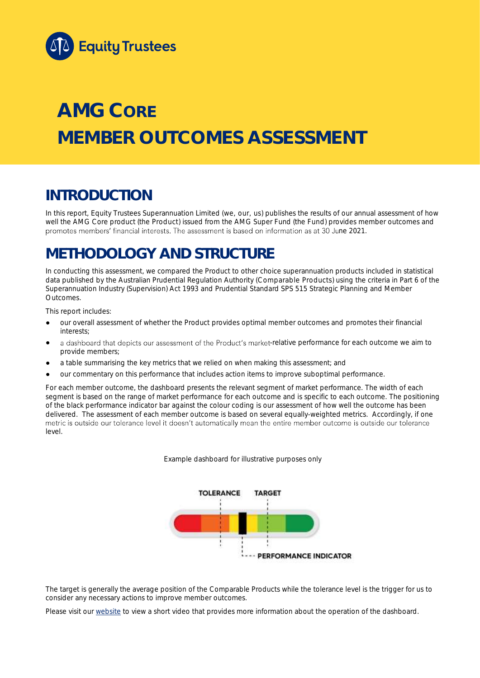

# **AMG CORE MEMBER OUTCOMES ASSESSMENT**

## **INTRODUCTION**

In this report, Equity Trustees Superannuation Limited (we, our, us) publishes the results of our annual assessment of how well the AMG Core product (the Product) issued from the AMG Super Fund (the Fund) provides member outcomes and promotes members' financial interests. The assessment is based on information as at 30 June 2021.

## **METHODOLOGY AND STRUCTURE**

In conducting this assessment, we compared the Product to other choice superannuation products included in statistical data published by the Australian Prudential Regulation Authority (Comparable Products) using the criteria in Part 6 of the *Superannuation Industry (Supervision) Act 1993* and Prudential Standard SPS 515 *Strategic Planning and Member Outcomes*.

This report includes:

- our overall assessment of whether the Product provides optimal member outcomes and promotes their financial interests;
- a dashboard that depicts our assessment of the Product's market-relative performance for each outcome we aim to provide members;
- a table summarising the key metrics that we relied on when making this assessment; and
- our commentary on this performance that includes action items to improve suboptimal performance.

For each member outcome, the dashboard presents the relevant segment of market performance. The width of each segment is based on the range of market performance for each outcome and is specific to each outcome. The positioning of the black performance indicator bar against the colour coding is our assessment of how well the outcome has been delivered. The assessment of each member outcome is based on several equally-weighted metrics. Accordingly, if one<br>metric is outside our tolerance level it doesn't automatically mean the entire member outcome is outside ou level.

*Example dashboard for illustrative purposes only*



The target is generally the average position of the Comparable Products while the tolerance level is the trigger for us to consider any necessary actions to improve member outcomes.

Please visit our [website](https://www.eqt.com.au/superannuation) to view a short video that provides more information about the operation of the dashboard.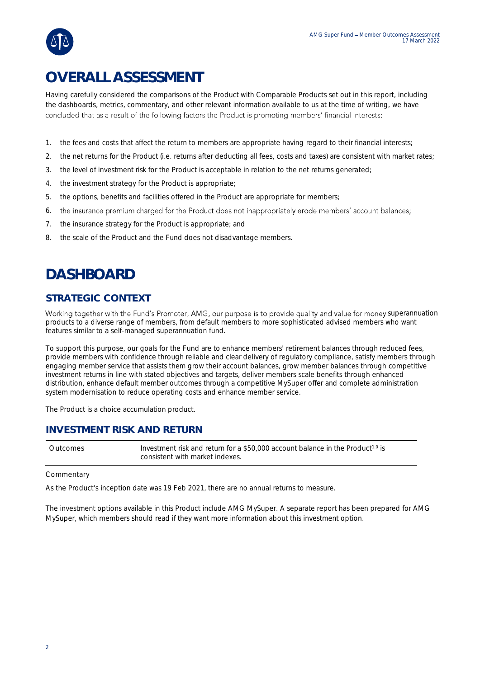

## **OVERALL ASSESSMENT**

Having carefully considered the comparisons of the Product with Comparable Products set out in this report, including the dashboards, metrics, commentary, and other relevant information available to us at the time of writing, we have concluded that as a result of the following factors the Product is promoting members' financial interests:

- 1. the fees and costs that affect the return to members are appropriate having regard to their financial interests;
- 2. the net returns for the Product (i.e. returns after deducting all fees, costs and taxes) are consistent with market rates;
- 3. the level of investment risk for the Product is acceptable in relation to the net returns generated;
- 4. the investment strategy for the Product is appropriate;
- 5. the options, benefits and facilities offered in the Product are appropriate for members;
- 6. the insurance premium charged for the Product does not inappropriately erode members' account balances;
- 7. the insurance strategy for the Product is appropriate; and
- 8. the scale of the Product and the Fund does not disadvantage members.

## **DASHBOARD**

### **STRATEGIC CONTEXT**

Working together with the Fund's Promoter, AMG, our purpose is to provide quality and value for money superannuation products to a diverse range of members, from default members to more sophisticated advised members who want features similar to a self-managed superannuation fund.

To support this purpose, our goals for the Fund are to enhance members' retirement balances through reduced fees, provide members with confidence through reliable and clear delivery of regulatory compliance, satisfy members through engaging member service that assists them grow their account balances, grow member balances through competitive investment returns in line with stated objectives and targets, deliver members scale benefits through enhanced distribution, enhance default member outcomes through a competitive MySuper offer and complete administration system modernisation to reduce operating costs and enhance member service.

The Product is a choice accumulation product.

### **INVESTMENT RISK AND RETURN**

Outcomes Investment risk and return for a \$50,000 account balance in the Product<sup>1.0</sup> is consistent with market indexes.

#### **Commentary**

As the Product's inception date was 19 Feb 2021, there are no annual returns to measure.

The investment options available in this Product include AMG MySuper. A separate report has been prepared for AMG MySuper, which members should read if they want more information about this investment option.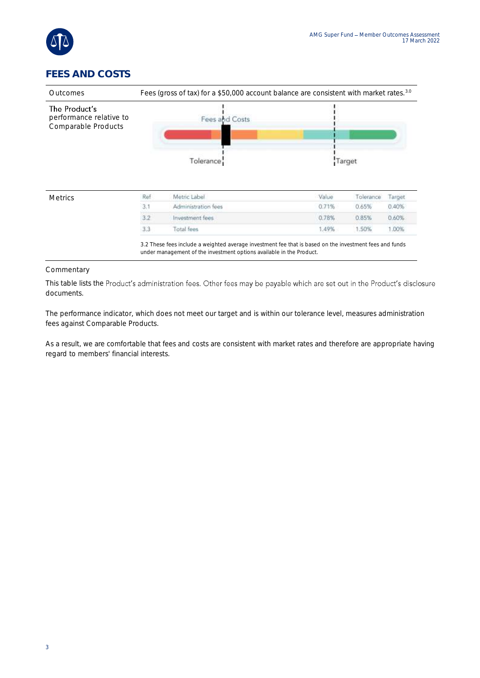

## **FEES AND COSTS**



#### Commentary

This table lists the Product's administration fees. Other fees may be payable which are set out in the Product's disclosure documents.

The performance indicator, which does not meet our target and is within our tolerance level, measures administration fees against Comparable Products.

As a result, we are comfortable that fees and costs are consistent with market rates and therefore are appropriate having regard to members' financial interests.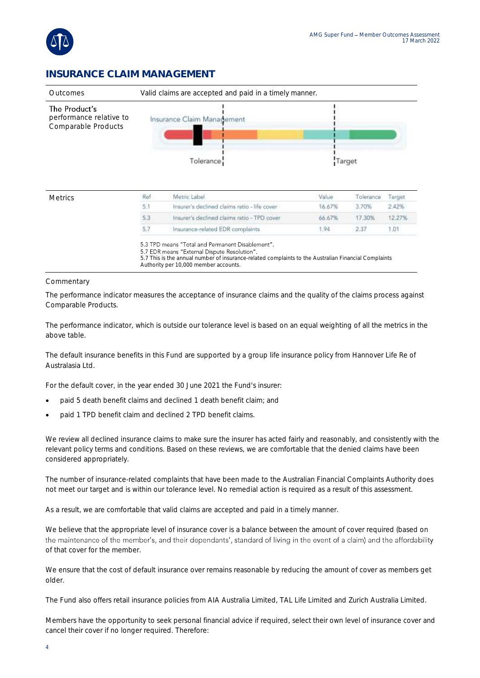

### **INSURANCE CLAIM MANAGEMENT**



| 5.1 | Insurer's declined claims ratio - life cover<br>16.67% |        |        |
|-----|--------------------------------------------------------|--------|--------|
|     |                                                        | 3.70%  | 2.42%  |
| 5.3 | Insurer's declined claims ratio - TPD cover<br>66.67%  | 17.30% | 12.27% |
| 5.7 | Insurance-related EDR complaints<br>1.94.              | 2.37   | .01    |

5.3 TPD means "Total and Permanent Disablement". 5.7 EDR means "External Dispute Resolution".

5.7 This is the annual number of insurance-related complaints to the Australian Financial Complaints Authority per 10,000 member accounts.

#### Commentary

The performance indicator measures the acceptance of insurance claims and the quality of the claims process against Comparable Products.

The performance indicator, which is outside our tolerance level is based on an equal weighting of all the metrics in the above table.

The default insurance benefits in this Fund are supported by a group life insurance policy from Hannover Life Re of Australasia Ltd.

For the default cover, in the year ended 30 June 2021 the Fund's insurer:

- paid 5 death benefit claims and declined 1 death benefit claim; and
- paid 1 TPD benefit claim and declined 2 TPD benefit claims.

We review all declined insurance claims to make sure the insurer has acted fairly and reasonably, and consistently with the relevant policy terms and conditions. Based on these reviews, we are comfortable that the denied claims have been considered appropriately.

The number of insurance-related complaints that have been made to the Australian Financial Complaints Authority does not meet our target and is within our tolerance level. No remedial action is required as a result of this assessment.

As a result, we are comfortable that valid claims are accepted and paid in a timely manner.

We believe that the appropriate level of insurance cover is a balance between the amount of cover required (based on the maintenance of the member's, and their dependants', standard of living in the event of a claim) and the affordability of that cover for the member.

We ensure that the cost of default insurance over remains reasonable by reducing the amount of cover as members get older.

The Fund also offers retail insurance policies from AIA Australia Limited, TAL Life Limited and Zurich Australia Limited.

Members have the opportunity to seek personal financial advice if required, select their own level of insurance cover and cancel their cover if no longer required. Therefore: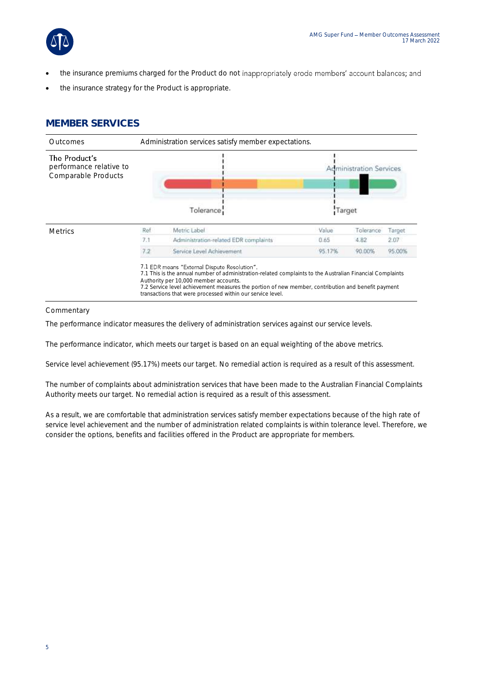

- the insurance premiums charged for the Product do not inappropriately erode members' account balances; and
- the insurance strategy for the Product is appropriate.

### **MEMBER SERVICES**



Commentary

The performance indicator measures the delivery of administration services against our service levels.

The performance indicator, which meets our target is based on an equal weighting of the above metrics.

Service level achievement (95.17%) meets our target. No remedial action is required as a result of this assessment.

The number of complaints about administration services that have been made to the Australian Financial Complaints Authority meets our target. No remedial action is required as a result of this assessment.

As a result, we are comfortable that administration services satisfy member expectations because of the high rate of service level achievement and the number of administration related complaints is within tolerance level. Therefore, we consider the options, benefits and facilities offered in the Product are appropriate for members.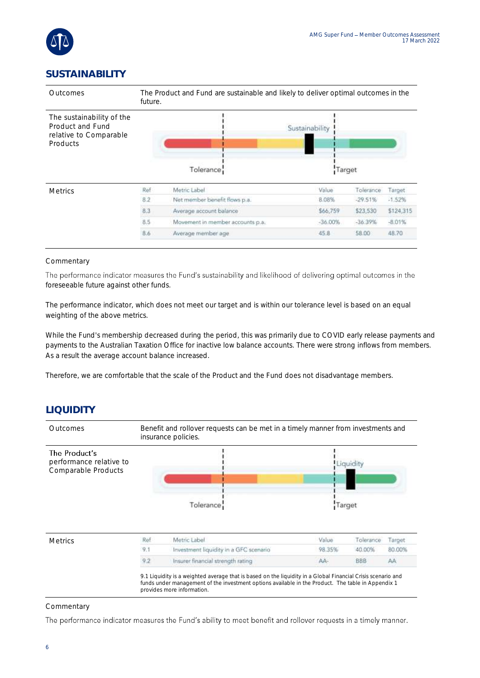

## **SUSTAINABILITY**



#### **Commentary**

The performance indicator measures the Fund's sustainability and likelihood of delivering optimal outcomes in the foreseeable future against other funds.

The performance indicator, which does not meet our target and is within our tolerance level is based on an equal weighting of the above metrics.

While the Fund's membership decreased during the period, this was primarily due to COVID early release payments and payments to the Australian Taxation Office for inactive low balance accounts. There were strong inflows from members. As a result the average account balance increased.

Therefore, we are comfortable that the scale of the Product and the Fund does not disadvantage members.

## **LIQUIDITY**



Commentary

The performance indicator measures the Fund's ability to meet benefit and rollover requests in a timely manner.